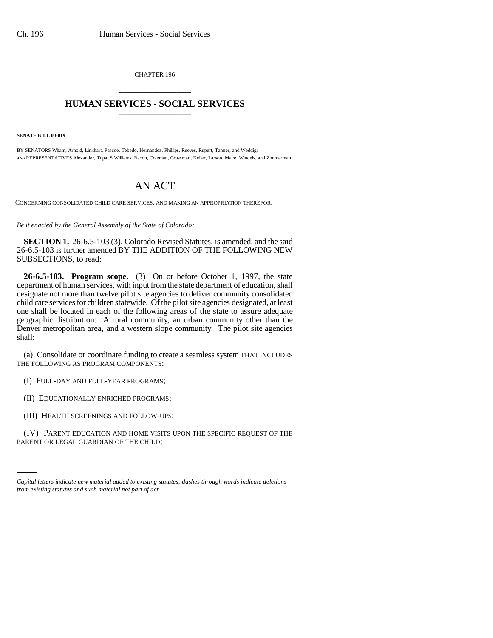CHAPTER 196 \_\_\_\_\_\_\_\_\_\_\_\_\_\_\_

## **HUMAN SERVICES - SOCIAL SERVICES** \_\_\_\_\_\_\_\_\_\_\_\_\_\_\_

**SENATE BILL 00-019** 

BY SENATORS Wham, Arnold, Linkhart, Pascoe, Tebedo, Hernandez, Phillips, Reeves, Rupert, Tanner, and Weddig; also REPRESENTATIVES Alexander, Tupa, S.Williams, Bacon, Coleman, Grossman, Keller, Larson, Mace, Windels, and Zimmerman.

## AN ACT

CONCERNING CONSOLIDATED CHILD CARE SERVICES, AND MAKING AN APPROPRIATION THEREFOR.

*Be it enacted by the General Assembly of the State of Colorado:*

**SECTION 1.** 26-6.5-103 (3), Colorado Revised Statutes, is amended, and the said 26-6.5-103 is further amended BY THE ADDITION OF THE FOLLOWING NEW SUBSECTIONS, to read:

**26-6.5-103. Program scope.** (3) On or before October 1, 1997, the state department of human services, with input from the state department of education, shall designate not more than twelve pilot site agencies to deliver community consolidated child care services for children statewide. Of the pilot site agencies designated, at least one shall be located in each of the following areas of the state to assure adequate geographic distribution: A rural community, an urban community other than the Denver metropolitan area, and a western slope community. The pilot site agencies shall:

(a) Consolidate or coordinate funding to create a seamless system THAT INCLUDES THE FOLLOWING AS PROGRAM COMPONENTS:

(I) FULL-DAY AND FULL-YEAR PROGRAMS;

(II) EDUCATIONALLY ENRICHED PROGRAMS;

(III) HEALTH SCREENINGS AND FOLLOW-UPS;

(IV) PARENT EDUCATION AND HOME VISITS UPON THE SPECIFIC REQUEST OF THE PARENT OR LEGAL GUARDIAN OF THE CHILD;

*Capital letters indicate new material added to existing statutes; dashes through words indicate deletions from existing statutes and such material not part of act.*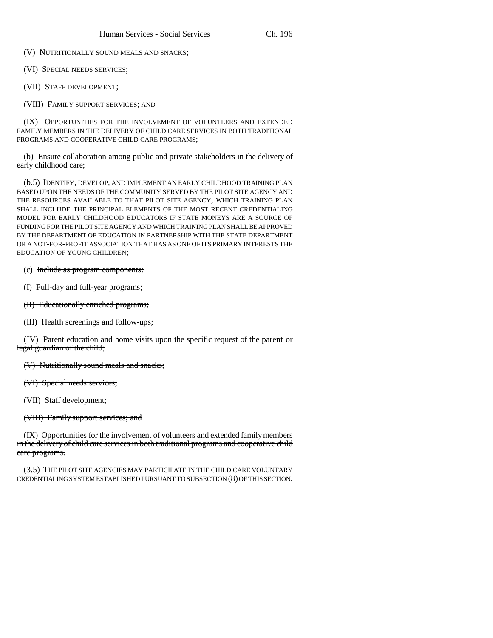(V) NUTRITIONALLY SOUND MEALS AND SNACKS;

(VI) SPECIAL NEEDS SERVICES;

(VII) STAFF DEVELOPMENT;

(VIII) FAMILY SUPPORT SERVICES; AND

(IX) OPPORTUNITIES FOR THE INVOLVEMENT OF VOLUNTEERS AND EXTENDED FAMILY MEMBERS IN THE DELIVERY OF CHILD CARE SERVICES IN BOTH TRADITIONAL PROGRAMS AND COOPERATIVE CHILD CARE PROGRAMS;

(b) Ensure collaboration among public and private stakeholders in the delivery of early childhood care;

(b.5) IDENTIFY, DEVELOP, AND IMPLEMENT AN EARLY CHILDHOOD TRAINING PLAN BASED UPON THE NEEDS OF THE COMMUNITY SERVED BY THE PILOT SITE AGENCY AND THE RESOURCES AVAILABLE TO THAT PILOT SITE AGENCY, WHICH TRAINING PLAN SHALL INCLUDE THE PRINCIPAL ELEMENTS OF THE MOST RECENT CREDENTIALING MODEL FOR EARLY CHILDHOOD EDUCATORS IF STATE MONEYS ARE A SOURCE OF FUNDING FOR THE PILOT SITE AGENCY AND WHICH TRAINING PLAN SHALL BE APPROVED BY THE DEPARTMENT OF EDUCATION IN PARTNERSHIP WITH THE STATE DEPARTMENT OR A NOT-FOR-PROFIT ASSOCIATION THAT HAS AS ONE OF ITS PRIMARY INTERESTS THE EDUCATION OF YOUNG CHILDREN;

(c) Include as program components:

(I) Full-day and full-year programs;

(II) Educationally enriched programs;

(III) Health screenings and follow-ups;

(IV) Parent education and home visits upon the specific request of the parent or legal guardian of the child;

(V) Nutritionally sound meals and snacks;

(VI) Special needs services;

(VII) Staff development;

(VIII) Family support services; and

(IX) Opportunities for the involvement of volunteers and extended family members in the delivery of child care services in both traditional programs and cooperative child care programs.

(3.5) THE PILOT SITE AGENCIES MAY PARTICIPATE IN THE CHILD CARE VOLUNTARY CREDENTIALING SYSTEM ESTABLISHED PURSUANT TO SUBSECTION (8) OF THIS SECTION.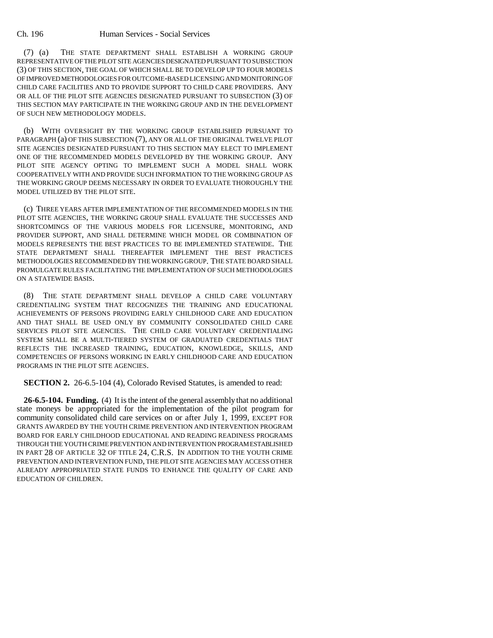## Ch. 196 Human Services - Social Services

(7) (a) THE STATE DEPARTMENT SHALL ESTABLISH A WORKING GROUP REPRESENTATIVE OF THE PILOT SITE AGENCIES DESIGNATED PURSUANT TO SUBSECTION (3) OF THIS SECTION, THE GOAL OF WHICH SHALL BE TO DEVELOP UP TO FOUR MODELS OF IMPROVED METHODOLOGIES FOR OUTCOME-BASED LICENSING AND MONITORING OF CHILD CARE FACILITIES AND TO PROVIDE SUPPORT TO CHILD CARE PROVIDERS. ANY OR ALL OF THE PILOT SITE AGENCIES DESIGNATED PURSUANT TO SUBSECTION (3) OF THIS SECTION MAY PARTICIPATE IN THE WORKING GROUP AND IN THE DEVELOPMENT OF SUCH NEW METHODOLOGY MODELS.

(b) WITH OVERSIGHT BY THE WORKING GROUP ESTABLISHED PURSUANT TO PARAGRAPH (a) OF THIS SUBSECTION (7), ANY OR ALL OF THE ORIGINAL TWELVE PILOT SITE AGENCIES DESIGNATED PURSUANT TO THIS SECTION MAY ELECT TO IMPLEMENT ONE OF THE RECOMMENDED MODELS DEVELOPED BY THE WORKING GROUP. ANY PILOT SITE AGENCY OPTING TO IMPLEMENT SUCH A MODEL SHALL WORK COOPERATIVELY WITH AND PROVIDE SUCH INFORMATION TO THE WORKING GROUP AS THE WORKING GROUP DEEMS NECESSARY IN ORDER TO EVALUATE THOROUGHLY THE MODEL UTILIZED BY THE PILOT SITE.

(c) THREE YEARS AFTER IMPLEMENTATION OF THE RECOMMENDED MODELS IN THE PILOT SITE AGENCIES, THE WORKING GROUP SHALL EVALUATE THE SUCCESSES AND SHORTCOMINGS OF THE VARIOUS MODELS FOR LICENSURE, MONITORING, AND PROVIDER SUPPORT, AND SHALL DETERMINE WHICH MODEL OR COMBINATION OF MODELS REPRESENTS THE BEST PRACTICES TO BE IMPLEMENTED STATEWIDE. THE STATE DEPARTMENT SHALL THEREAFTER IMPLEMENT THE BEST PRACTICES METHODOLOGIES RECOMMENDED BY THE WORKING GROUP. THE STATE BOARD SHALL PROMULGATE RULES FACILITATING THE IMPLEMENTATION OF SUCH METHODOLOGIES ON A STATEWIDE BASIS.

(8) THE STATE DEPARTMENT SHALL DEVELOP A CHILD CARE VOLUNTARY CREDENTIALING SYSTEM THAT RECOGNIZES THE TRAINING AND EDUCATIONAL ACHIEVEMENTS OF PERSONS PROVIDING EARLY CHILDHOOD CARE AND EDUCATION AND THAT SHALL BE USED ONLY BY COMMUNITY CONSOLIDATED CHILD CARE SERVICES PILOT SITE AGENCIES. THE CHILD CARE VOLUNTARY CREDENTIALING SYSTEM SHALL BE A MULTI-TIERED SYSTEM OF GRADUATED CREDENTIALS THAT REFLECTS THE INCREASED TRAINING, EDUCATION, KNOWLEDGE, SKILLS, AND COMPETENCIES OF PERSONS WORKING IN EARLY CHILDHOOD CARE AND EDUCATION PROGRAMS IN THE PILOT SITE AGENCIES.

**SECTION 2.** 26-6.5-104 (4), Colorado Revised Statutes, is amended to read:

**26-6.5-104. Funding.** (4) It is the intent of the general assembly that no additional state moneys be appropriated for the implementation of the pilot program for community consolidated child care services on or after July 1, 1999, EXCEPT FOR GRANTS AWARDED BY THE YOUTH CRIME PREVENTION AND INTERVENTION PROGRAM BOARD FOR EARLY CHILDHOOD EDUCATIONAL AND READING READINESS PROGRAMS THROUGH THE YOUTH CRIME PREVENTION AND INTERVENTION PROGRAM ESTABLISHED IN PART 28 OF ARTICLE 32 OF TITLE 24, C.R.S. IN ADDITION TO THE YOUTH CRIME PREVENTION AND INTERVENTION FUND, THE PILOT SITE AGENCIES MAY ACCESS OTHER ALREADY APPROPRIATED STATE FUNDS TO ENHANCE THE QUALITY OF CARE AND EDUCATION OF CHILDREN.